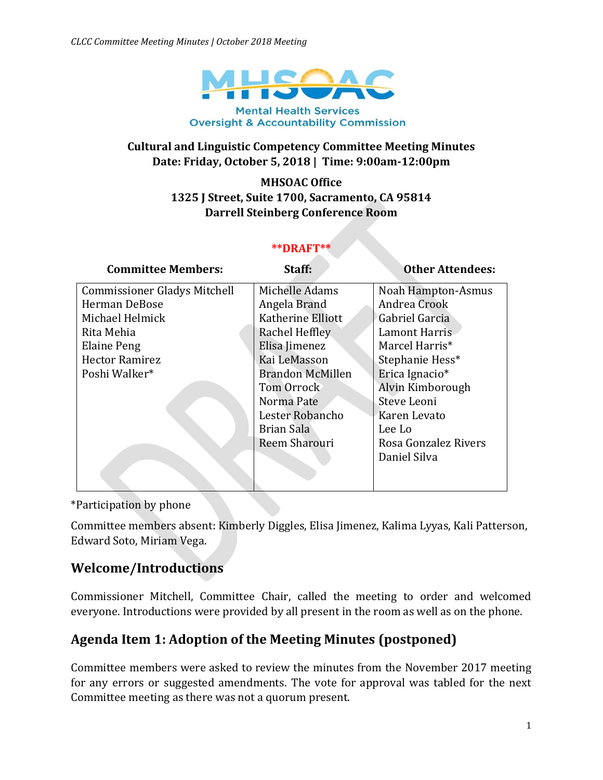

#### **Cultural and Linguistic Competency Committee Meeting Minutes Date: Friday, October 5, 2018 | Time: 9:00am-12:00pm**

#### **MHSOAC Office 1325 J Street, Suite 1700, Sacramento, CA 95814 Darrell Steinberg Conference Room**

#### **\*\*DRAFT\*\***

| <b>Committee Members:</b>           | Staff:                  | <b>Other Attendees:</b> |
|-------------------------------------|-------------------------|-------------------------|
| <b>Commissioner Gladys Mitchell</b> | Michelle Adams          | Noah Hampton-Asmus      |
| Herman DeBose                       | Angela Brand            | Andrea Crook            |
| Michael Helmick                     | Katherine Elliott       | Gabriel Garcia          |
| Rita Mehia                          | Rachel Heffley          | <b>Lamont Harris</b>    |
| <b>Elaine Peng</b>                  | Elisa Jimenez           | Marcel Harris*          |
| <b>Hector Ramirez</b>               | Kai LeMasson            | Stephanie Hess*         |
| Poshi Walker*                       | <b>Brandon McMillen</b> | Erica Ignacio*          |
|                                     | Tom Orrock              | Alvin Kimborough        |
|                                     | Norma Pate              | Steve Leoni             |
|                                     | Lester Robancho         | Karen Levato            |
|                                     | Brian Sala              | Lee Lo                  |
|                                     | Reem Sharouri           | Rosa Gonzalez Rivers    |
|                                     |                         | Daniel Silva            |
|                                     |                         |                         |

\*Participation by phone

Committee members absent: Kimberly Diggles, Elisa Jimenez, Kalima Lyyas, Kali Patterson, Edward Soto, Miriam Vega.

### **Welcome/Introductions**

Commissioner Mitchell, Committee Chair, called the meeting to order and welcomed everyone. Introductions were provided by all present in the room as well as on the phone.

# **Agenda Item 1: Adoption of the Meeting Minutes (postponed)**

Committee members were asked to review the minutes from the November 2017 meeting for any errors or suggested amendments. The vote for approval was tabled for the next Committee meeting as there was not a quorum present.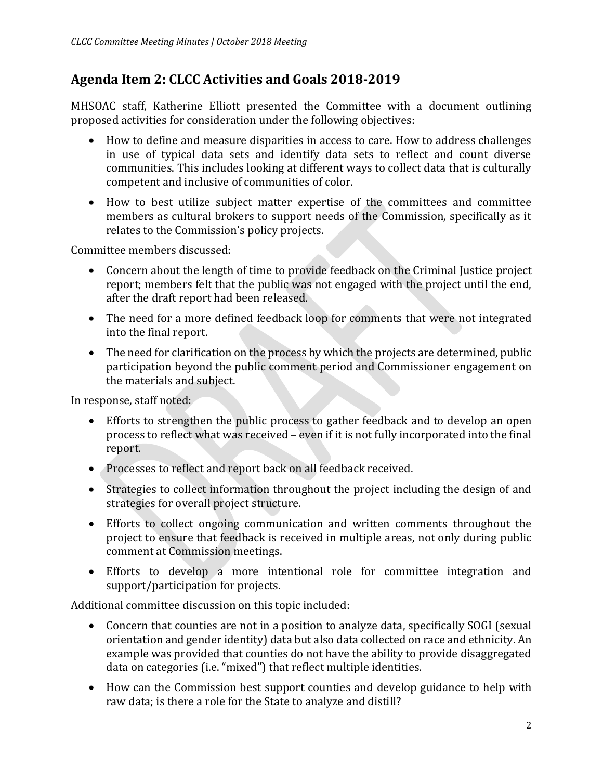# **Agenda Item 2: CLCC Activities and Goals 2018-2019**

MHSOAC staff, Katherine Elliott presented the Committee with a document outlining proposed activities for consideration under the following objectives:

- How to define and measure disparities in access to care. How to address challenges in use of typical data sets and identify data sets to reflect and count diverse communities. This includes looking at different ways to collect data that is culturally competent and inclusive of communities of color.
- How to best utilize subject matter expertise of the committees and committee members as cultural brokers to support needs of the Commission, specifically as it relates to the Commission's policy projects.

Committee members discussed:

- Concern about the length of time to provide feedback on the Criminal Justice project report; members felt that the public was not engaged with the project until the end, after the draft report had been released.
- The need for a more defined feedback loop for comments that were not integrated into the final report.
- The need for clarification on the process by which the projects are determined, public participation beyond the public comment period and Commissioner engagement on the materials and subject.

In response, staff noted:

- Efforts to strengthen the public process to gather feedback and to develop an open process to reflect what was received – even if it is not fully incorporated into the final report.
- Processes to reflect and report back on all feedback received.
- Strategies to collect information throughout the project including the design of and strategies for overall project structure.
- Efforts to collect ongoing communication and written comments throughout the project to ensure that feedback is received in multiple areas, not only during public comment at Commission meetings.
- Efforts to develop a more intentional role for committee integration and support/participation for projects.

Additional committee discussion on this topic included:

- Concern that counties are not in a position to analyze data, specifically SOGI (sexual orientation and gender identity) data but also data collected on race and ethnicity. An example was provided that counties do not have the ability to provide disaggregated data on categories (i.e. "mixed") that reflect multiple identities.
- How can the Commission best support counties and develop guidance to help with raw data; is there a role for the State to analyze and distill?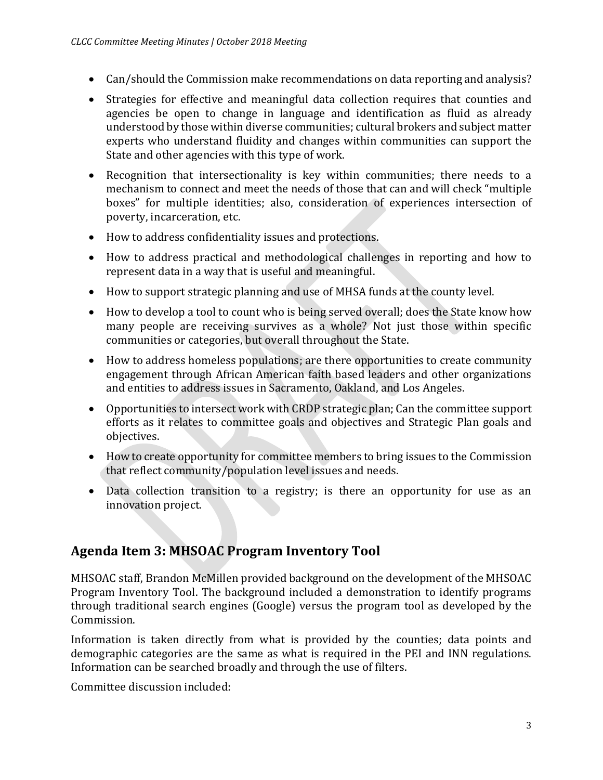- Can/should the Commission make recommendations on data reporting and analysis?
- Strategies for effective and meaningful data collection requires that counties and agencies be open to change in language and identification as fluid as already understood by those within diverse communities; cultural brokers and subject matter experts who understand fluidity and changes within communities can support the State and other agencies with this type of work.
- Recognition that intersectionality is key within communities; there needs to a mechanism to connect and meet the needs of those that can and will check "multiple boxes" for multiple identities; also, consideration of experiences intersection of poverty, incarceration, etc.
- How to address confidentiality issues and protections.
- How to address practical and methodological challenges in reporting and how to represent data in a way that is useful and meaningful.
- How to support strategic planning and use of MHSA funds at the county level.
- How to develop a tool to count who is being served overall; does the State know how many people are receiving survives as a whole? Not just those within specific communities or categories, but overall throughout the State.
- How to address homeless populations; are there opportunities to create community engagement through African American faith based leaders and other organizations and entities to address issues in Sacramento, Oakland, and Los Angeles.
- Opportunities to intersect work with CRDP strategic plan; Can the committee support efforts as it relates to committee goals and objectives and Strategic Plan goals and objectives.
- How to create opportunity for committee members to bring issues to the Commission that reflect community/population level issues and needs.
- Data collection transition to a registry; is there an opportunity for use as an innovation project.

# **Agenda Item 3: MHSOAC Program Inventory Tool**

MHSOAC staff, Brandon McMillen provided background on the development of the MHSOAC Program Inventory Tool. The background included a demonstration to identify programs through traditional search engines (Google) versus the program tool as developed by the Commission.

Information is taken directly from what is provided by the counties; data points and demographic categories are the same as what is required in the PEI and INN regulations. Information can be searched broadly and through the use of filters.

Committee discussion included: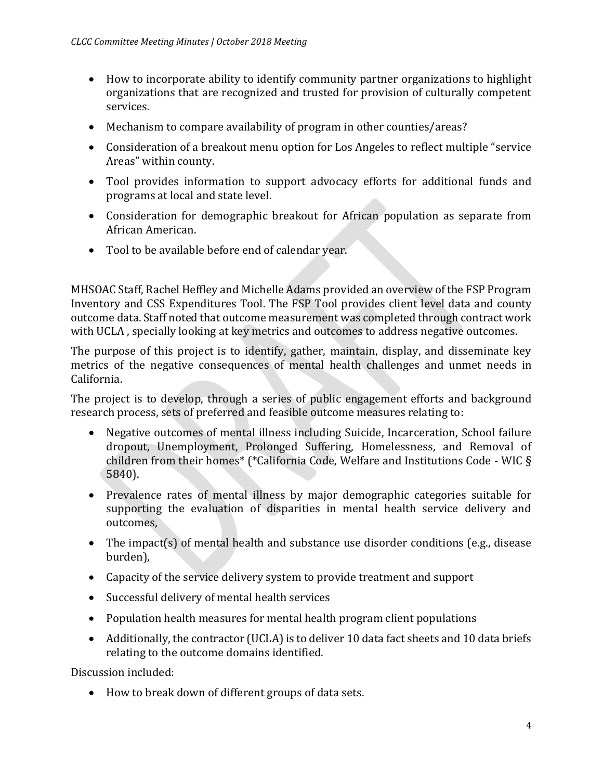- How to incorporate ability to identify community partner organizations to highlight organizations that are recognized and trusted for provision of culturally competent services.
- Mechanism to compare availability of program in other counties/areas?
- Consideration of a breakout menu option for Los Angeles to reflect multiple "service Areas" within county.
- Tool provides information to support advocacy efforts for additional funds and programs at local and state level.
- Consideration for demographic breakout for African population as separate from African American.
- Tool to be available before end of calendar year.

MHSOAC Staff, Rachel Heffley and Michelle Adams provided an overview of the FSP Program Inventory and CSS Expenditures Tool. The FSP Tool provides client level data and county outcome data. Staff noted that outcome measurement was completed through contract work with UCLA , specially looking at key metrics and outcomes to address negative outcomes.

The purpose of this project is to identify, gather, maintain, display, and disseminate key metrics of the negative consequences of mental health challenges and unmet needs in California.

The project is to develop, through a series of public engagement efforts and background research process, sets of preferred and feasible outcome measures relating to:

- Negative outcomes of mental illness including Suicide, Incarceration, School failure dropout, Unemployment, Prolonged Suffering, Homelessness, and Removal of children from their homes\* (\*California Code, Welfare and Institutions Code - WIC § 5840).
- Prevalence rates of mental illness by major demographic categories suitable for supporting the evaluation of disparities in mental health service delivery and outcomes,
- The impact(s) of mental health and substance use disorder conditions (e.g., disease burden),
- Capacity of the service delivery system to provide treatment and support
- Successful delivery of mental health services
- Population health measures for mental health program client populations
- Additionally, the contractor (UCLA) is to deliver 10 data fact sheets and 10 data briefs relating to the outcome domains identified.

Discussion included:

How to break down of different groups of data sets.